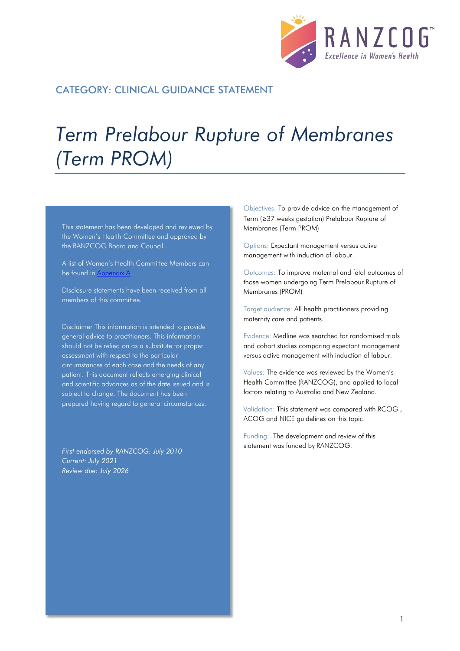

# CATEGORY: CLINICAL GUIDANCE STATEMENT

# *Term Prelabour Rupture of Membranes (Term PROM)*

This statement has been developed and reviewed by the Women's Health Committee and approved by the RANZCOG Board and Council.

A list of Women's Health Committee Members can be found in Appendix A.

Disclosure statements have been received from all members of this committee.

Disclaimer This information is intended to provide general advice to practitioners. This information should not be relied on as a substitute for proper assessment with respect to the particular circumstances of each case and the needs of any patient. This document reflects emerging clinical and scientific advances as of the date issued and is subject to change. The document has been prepared having regard to general circumstances.

*First endorsed by RANZCOG: July 2010 Current: July 2021 Review due: July 2026*

Objectives: To provide advice on the management of Term (≥37 weeks gestation) Prelabour Rupture of Membranes (Term PROM)

Options: Expectant management versus active management with induction of labour.

Outcomes: To improve maternal and fetal outcomes of those women undergoing Term Prelabour Rupture of Membranes (PROM)

Target audience: All health practitioners providing maternity care and patients.

Evidence: Medline was searched for randomised trials and cohort studies comparing expectant management versus active management with induction of labour.

Values: The evidence was reviewed by the Women's Health Committee (RANZCOG), and applied to local factors relating to Australia and New Zealand.

Validation: This statement was compared with RCOG , ACOG and NICE guidelines on this topic.

Funding:. The development and review of this statement was funded by RANZCOG.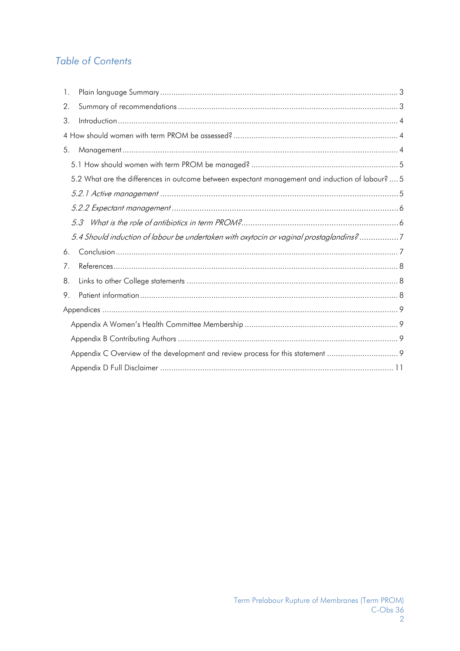# **Table of Contents**

| $\mathbf{1}$ . |                                                                                                 |  |
|----------------|-------------------------------------------------------------------------------------------------|--|
| 2.             |                                                                                                 |  |
| 3.             |                                                                                                 |  |
|                |                                                                                                 |  |
| 5.             |                                                                                                 |  |
|                |                                                                                                 |  |
|                | 5.2 What are the differences in outcome between expectant management and induction of labour? 5 |  |
|                |                                                                                                 |  |
|                |                                                                                                 |  |
|                | 53                                                                                              |  |
|                | 5.4 Should induction of labour be undertaken with oxytocin or vaginal prostaglandins?7          |  |
| 6.             |                                                                                                 |  |
| 7.             |                                                                                                 |  |
| 8.             |                                                                                                 |  |
| 9.             |                                                                                                 |  |
|                |                                                                                                 |  |
|                |                                                                                                 |  |
|                |                                                                                                 |  |
|                | Appendix C Overview of the development and review process for this statement                    |  |
|                |                                                                                                 |  |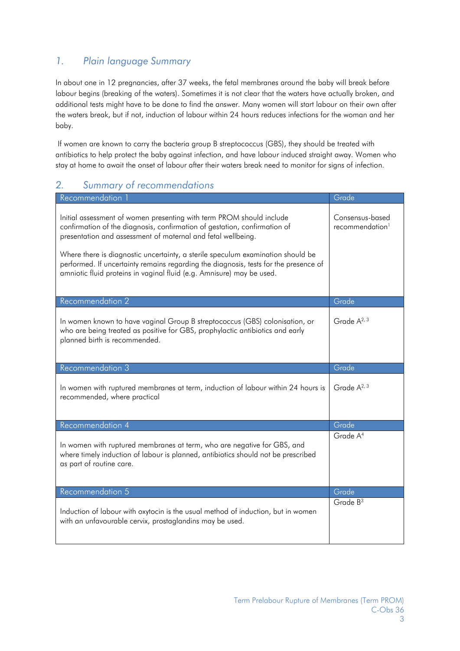# <span id="page-2-0"></span>*1. Plain language Summary*

In about one in 12 pregnancies, after 37 weeks, the fetal membranes around the baby will break before labour begins (breaking of the waters). Sometimes it is not clear that the waters have actually broken, and additional tests might have to be done to find the answer. Many women will start labour on their own after the waters break, but if not, induction of labour within 24 hours reduces infections for the woman and her baby.

If women are known to carry the bacteria group B streptococcus (GBS), they should be treated with antibiotics to help protect the baby against infection, and have labour induced straight away. Women who stay at home to await the onset of labour after their waters break need to monitor for signs of infection.

# <span id="page-2-1"></span>*2. Summary of recommendations*

| Recommendation 1                                                                                                                                                                                                                                                                                                                                                                                                                                                      | Grade                                          |
|-----------------------------------------------------------------------------------------------------------------------------------------------------------------------------------------------------------------------------------------------------------------------------------------------------------------------------------------------------------------------------------------------------------------------------------------------------------------------|------------------------------------------------|
| Initial assessment of women presenting with term PROM should include<br>confirmation of the diagnosis, confirmation of gestation, confirmation of<br>presentation and assessment of maternal and fetal wellbeing.<br>Where there is diagnostic uncertainty, a sterile speculum examination should be<br>performed. If uncertainty remains regarding the diagnosis, tests for the presence of<br>amniotic fluid proteins in vaginal fluid (e.g. Amnisure) may be used. | Consensus-based<br>recommendation <sup>1</sup> |
| Recommendation 2                                                                                                                                                                                                                                                                                                                                                                                                                                                      | Grade                                          |
| In women known to have vaginal Group B streptococcus (GBS) colonisation, or<br>who are being treated as positive for GBS, prophylactic antibiotics and early<br>planned birth is recommended.                                                                                                                                                                                                                                                                         | Grade A <sup>2, 3</sup>                        |
| Recommendation 3                                                                                                                                                                                                                                                                                                                                                                                                                                                      | Grade                                          |
| In women with ruptured membranes at term, induction of labour within 24 hours is<br>recommended, where practical                                                                                                                                                                                                                                                                                                                                                      | Grade A <sup>2, 3</sup>                        |
|                                                                                                                                                                                                                                                                                                                                                                                                                                                                       |                                                |
| Recommendation 4                                                                                                                                                                                                                                                                                                                                                                                                                                                      | Grade                                          |
| In women with ruptured membranes at term, who are negative for GBS, and<br>where timely induction of labour is planned, antibiotics should not be prescribed<br>as part of routine care.                                                                                                                                                                                                                                                                              | Grade A <sup>4</sup>                           |
| Recommendation 5                                                                                                                                                                                                                                                                                                                                                                                                                                                      | Grade<br>Grade $B^3$                           |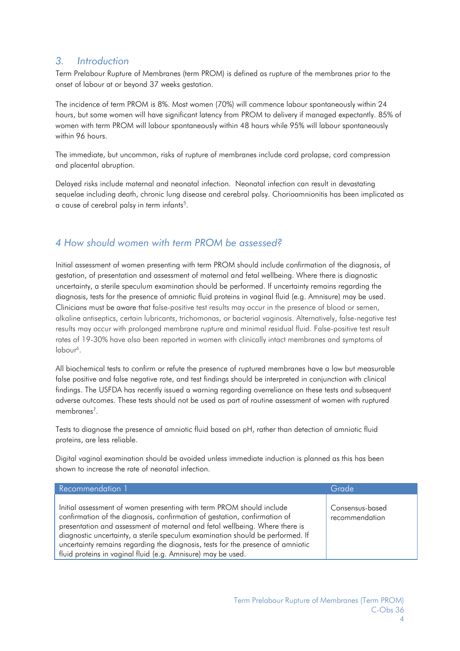## <span id="page-3-0"></span>*3. Introduction*

Term Prelabour Rupture of Membranes (term PROM) is defined as rupture of the membranes prior to the onset of labour at or beyond 37 weeks gestation.

The incidence of term PROM is 8%. Most women (70%) will commence labour spontaneously within 24 hours, but some women will have significant latency from PROM to delivery if managed expectantly. 85% of women with term PROM will labour spontaneously within 48 hours while 95% will labour spontaneously within 96 hours.

The immediate, but uncommon, risks of rupture of membranes include cord prolapse, cord compression and placental abruption.

Delayed risks include maternal and neonatal infection. Neonatal infection can result in devastating sequelae including death, chronic lung disease and cerebral palsy. Chorioamnionitis has been implicated as a cause of cerebral palsy in term infants<sup>5</sup>[.](#page-7-7)

# <span id="page-3-1"></span>*4 How should women with term PROM be assessed?*

Initial assessment of women presenting with term PROM should include confirmation of the diagnosis, of gestation, of presentation and assessment of maternal and fetal wellbeing. Where there is diagnostic uncertainty, a sterile speculum examination should be performed. If uncertainty remains regarding the diagnosis, tests for the presence of amniotic fluid proteins in vaginal fluid (e.g. Amnisure) may be used. Clinicians must be aware that false-positive test results may occur in the presence of blood or semen, alkaline antiseptics, certain lubricants, trichomonas, or bacterial vaginosis. Alternatively, false-negative test results may occur with prolonged membrane rupture and minimal residual fluid. False-positive test result rates of 19-30% have also been reported in women with clinically intact membranes and symptoms of labour<sup>6</sup>.

All biochemical tests to confirm or refute the presence of ruptured membranes have a low but measurable false positive and false negative rate, and test findings should be interpreted in conjunction with clinical findings. The USFDA has recently issued a warning regarding overreliance on these tests and subsequent adverse outcomes. These tests should not be used as part of routine assessment of women with ruptured membranes<sup>7</sup>.

Tests to diagnose the presence of amniotic fluid based on pH, rather than detection of amniotic fluid proteins, are less reliable.

Digital vaginal examination should be avoided unless immediate induction is planned as this has been shown to increase the rate of neonatal infection.

| Recommendation 1                                                                                                                                                                                                                                                                                                                                                                                                                                                      | Grade                             |
|-----------------------------------------------------------------------------------------------------------------------------------------------------------------------------------------------------------------------------------------------------------------------------------------------------------------------------------------------------------------------------------------------------------------------------------------------------------------------|-----------------------------------|
| Initial assessment of women presenting with term PROM should include<br>confirmation of the diagnosis, confirmation of gestation, confirmation of<br>presentation and assessment of maternal and fetal wellbeing. Where there is<br>diagnostic uncertainty, a sterile speculum examination should be performed. If<br>uncertainty remains regarding the diagnosis, tests for the presence of amniotic<br>fluid proteins in vaginal fluid (e.g. Amnisure) may be used. | Consensus-based<br>recommendation |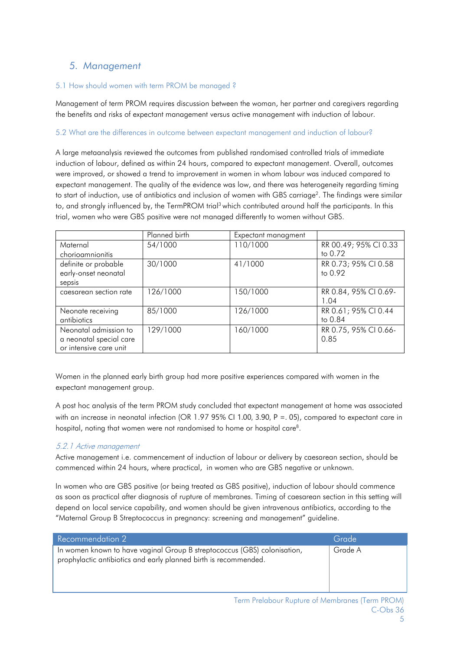## <span id="page-4-0"></span>*5. Management*

## 5.1 How should women with term PROM be managed ?

Management of term PROM requires discussion between the woman, her partner and caregivers regarding the benefits and risks of expectant management versus active management with induction of labour.

## <span id="page-4-1"></span>5.2 What are the differences in outcome between expectant management and induction of labour?

A large metaanalysis reviewed the outcomes from published randomised controlled trials of immediate induction of labour, defined as within 24 hours, compared to expectant management. Overall, outcomes were improved, or showed a trend to improvement in women in whom labour was induced compared to expectant management. The quality of the evidence was low, and there was heterogeneity regarding timing to start of induction, use of antibiotics and inclusion of women with GBS carriage<sup>2</sup>. The findings were similar to, and strongly influenced by, the TermPROM tri[al](#page-7-5)<sup>[3](#page-7-5)</sup> which contributed around half the participants. In this trial, women who were GBS positive were not managed differently to women without GBS.

|                         | Planned birth | Expectant managment |                       |
|-------------------------|---------------|---------------------|-----------------------|
| Maternal                | 54/1000       | 110/1000            | RR 00.49; 95% CI 0.33 |
| chorioamnionitis        |               |                     | to 0.72               |
| definite or probable    | 30/1000       | 41/1000             | RR 0.73; 95% CI 0.58  |
| early-onset neonatal    |               |                     | to 0.92               |
| sepsis                  |               |                     |                       |
| caesarean section rate  | 126/1000      | 150/1000            | RR 0.84, 95% CI 0.69- |
|                         |               |                     | 1.04                  |
| Neonate receiving       | 85/1000       | 126/1000            | RR 0.61; 95% CI 0.44  |
| antibiotics             |               |                     | to 0.84               |
| Neonatal admission to   | 129/1000      | 160/1000            | RR 0.75, 95% CI 0.66- |
| a neonatal special care |               |                     | 0.85                  |
| or intensive care unit  |               |                     |                       |

Women in the planned early birth group had more positive experiences compared with women in the expectant management group.

A post hoc analysis of the term PROM study concluded that expectant management at home was associated with an increase in neonatal infection (OR 1.97 95% CI 1.00, 3.90, P = 05), compared to expectant care in hospital, noting that women were not randomised to home or hospital care<sup>8</sup>.

## <span id="page-4-2"></span>5.2.1 Active management

Active management i.e. commencement of induction of labour or delivery by caesarean section, should be commenced within 24 hours, where practical, in women who are GBS negative or unknown.

In women who are GBS positive (or being treated as GBS positive), induction of labour should commence as soon as practical after diagnosis of rupture of membranes. Timing of caesarean section in this setting will depend on local service capability, and women should be given intravenous antibiotics, according to the "Maternal Group B Streptococcus in pregnancy: screening and management" guideline.

| Recommendation 2                                                                                                                             | Grade   |
|----------------------------------------------------------------------------------------------------------------------------------------------|---------|
| In women known to have vaginal Group B streptococcus (GBS) colonisation,<br>prophylactic antibiotics and early planned birth is recommended. | Grade A |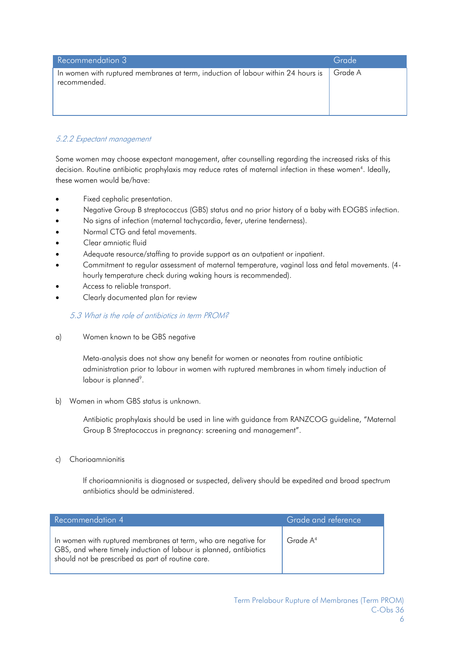| Recommendation 3                                                                                 | Grade   |
|--------------------------------------------------------------------------------------------------|---------|
| In women with ruptured membranes at term, induction of labour within 24 hours is<br>recommended. | Grade A |

## <span id="page-5-0"></span>5.2.2 Expectant management

Some women may choose expectant management, after counselling regarding the increased risks of this decision. Routine antibiotic prophylaxis may reduce rates of maternal infection in these women<sup>4</sup>[. I](#page-7-6)deally, these women would be/have:

- Fixed cephalic presentation.
- Negative Group B streptococcus (GBS) status and no prior history of a baby with EOGBS infection.
- No signs of infection (maternal tachycardia, fever, uterine tenderness).
- Normal CTG and fetal movements.
- Clear amniotic fluid
- Adequate resource/staffing to provide support as an outpatient or inpatient.
- Commitment to regular assessment of maternal temperature, vaginal loss and fetal movements. (4 hourly temperature check during waking hours is recommended).
- Access to reliable transport.
- <span id="page-5-1"></span>• Clearly documented plan for review

5.3 What is the role of antibiotics in term PROM?

a) Women known to be GBS negative

Meta-analysis does not show any benefit for women or neonates from routine antibiotic administration prior to labour in women with ruptured membranes in whom timely induction of labour is planned<sup>9</sup>.

b) Women in whom GBS status is unknown.

Antibiotic prophylaxis should be used in line with guidance from RANZCOG guideline, "Maternal Group B Streptococcus in pregnancy: screening and management".

c) Chorioamnionitis

If chorioamnionitis is diagnosed or suspected, delivery should be expedited and broad spectrum antibiotics should be administered.

| Recommendation 4                                                                                                                                                                         | Grade and reference  |
|------------------------------------------------------------------------------------------------------------------------------------------------------------------------------------------|----------------------|
| In women with ruptured membranes at term, who are negative for<br>GBS, and where timely induction of labour is planned, antibiotics<br>should not be prescribed as part of routine care. | Grade A <sup>4</sup> |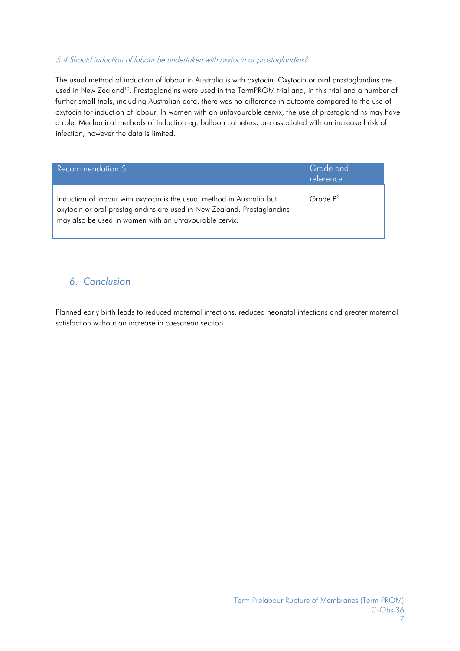## <span id="page-6-0"></span>5.4 Should induction of labour be undertaken with oxytocin or prostaglandins?

The usual method of induction of labour in Australia is with oxytocin. Oxytocin or oral prostaglandins are used in New Zealand<sup>10</sup>. Prostaglandins were used in the TermPROM trial and, in this trial and a number of further small trials, including Australian data, there was no difference in outcome compared to the use of oxytocin for induction of labour. In women with an unfavourable cervix, the use of prostaglandins may have a role. Mechanical methods of induction eg. balloon catheters, are associated with an increased risk of infection, however the data is limited.

| Recommendation 5                                                                                                                                                                                            | Grade and<br>reference |
|-------------------------------------------------------------------------------------------------------------------------------------------------------------------------------------------------------------|------------------------|
| Induction of labour with oxytocin is the usual method in Australia but<br>oxytocin or oral prostaglandins are used in New Zealand. Prostaglandins<br>may also be used in women with an unfavourable cervix. | Grade $B^3$            |

## <span id="page-6-1"></span>*6. Conclusion*

Planned early birth leads to reduced maternal infections, reduced neonatal infections and greater maternal satisfaction without an increase in caesarean section.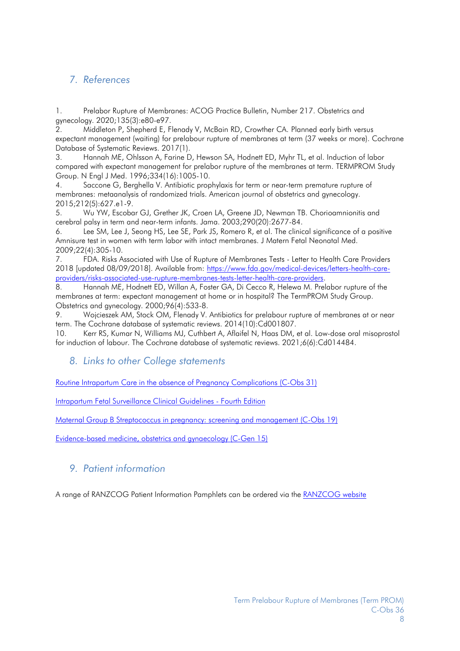# <span id="page-7-0"></span>*7. References*

<span id="page-7-3"></span>1. Prelabor Rupture of Membranes: ACOG Practice Bulletin, Number 217. Obstetrics and gynecology. 2020;135(3):e80-e97.

<span id="page-7-4"></span>2. Middleton P, Shepherd E, Flenady V, McBain RD, Crowther CA. Planned early birth versus expectant management (waiting) for prelabour rupture of membranes at term (37 weeks or more). Cochrane Database of Systematic Reviews. 2017(1).

<span id="page-7-5"></span>3. Hannah ME, Ohlsson A, Farine D, Hewson SA, Hodnett ED, Myhr TL, et al. Induction of labor compared with expectant management for prelabor rupture of the membranes at term. TERMPROM Study Group. N Engl J Med. 1996;334(16):1005-10.

<span id="page-7-6"></span>4. Saccone G, Berghella V. Antibiotic prophylaxis for term or near-term premature rupture of membranes: metaanalysis of randomized trials. American journal of obstetrics and gynecology. 2015;212(5):627.e1-9.

<span id="page-7-8"></span><span id="page-7-7"></span>5. Wu YW, Escobar GJ, Grether JK, Croen LA, Greene JD, Newman TB. Chorioamnionitis and cerebral palsy in term and near-term infants. Jama. 2003;290(20):2677-84.

6. Lee SM, Lee J, Seong HS, Lee SE, Park JS, Romero R, et al. The clinical significance of a positive Amnisure test in women with term labor with intact membranes. J Matern Fetal Neonatal Med. 2009;22(4):305-10.

<span id="page-7-9"></span>7. FDA. Risks Associated with Use of Rupture of Membranes Tests - Letter to Health Care Providers 2018 [updated 08/09/2018]. Available from: [https://www.fda.gov/medical-devices/letters-health-care](https://www.fda.gov/medical-devices/letters-health-care-providers/risks-associated-use-rupture-membranes-tests-letter-health-care-providers)[providers/risks-associated-use-rupture-membranes-tests-letter-health-care-providers.](https://www.fda.gov/medical-devices/letters-health-care-providers/risks-associated-use-rupture-membranes-tests-letter-health-care-providers)

<span id="page-7-10"></span>8. Hannah ME, Hodnett ED, Willan A, Foster GA, Di Cecco R, Helewa M. Prelabor rupture of the membranes at term: expectant management at home or in hospital? The TermPROM Study Group. Obstetrics and gynecology. 2000;96(4):533-8.

<span id="page-7-12"></span><span id="page-7-11"></span>9. Wojcieszek AM, Stock OM, Flenady V. Antibiotics for prelabour rupture of membranes at or near term. The Cochrane database of systematic reviews. 2014(10):Cd001807.

<span id="page-7-1"></span>10. Kerr RS, Kumar N, Williams MJ, Cuthbert A, Aflaifel N, Haas DM, et al. Low-dose oral misoprostol for induction of labour. The Cochrane database of systematic reviews. 2021;6(6):Cd014484.

## *8. Links to other College statements*

Routine Intrapartum Care in the absence of Pregnancy [Complications](https://www.ranzcog.edu.au/RANZCOG_SITE/media/RANZCOG-MEDIA/Women%27s%20Health/Statement%20and%20guidelines/Clinical-Obstetrics/Provision-of-routine-intrapartum-care-in-the-absence-of-pregnancy-complications-(C-Obs-31)review-July-2017.pdf?ext=.pdf) (C-Obs 31)

Intrapartum Fetal [Surveillance](https://ranzcog.edu.au/RANZCOG_SITE/media/RANZCOG-MEDIA/Women%27s%20Health/Statement%20and%20guidelines/Clinical-Obstetrics/IFS-Guideline-4thEdition-2019.pdf?ext=.pdf) Clinical Guidelines - Fourth Edition

Maternal Group B [Streptococcus](https://ranzcog.edu.au/RANZCOG_SITE/media/RANZCOG-MEDIA/Women%27s%20Health/Statement%20and%20guidelines/Clinical-Obstetrics/Maternal-Group-B-Streptococcus-in-pregnancy-screening-and-management-(C-Obs-19).pdf?ext=.pdf) in pregnancy: screening and management (C-Obs 19)

<span id="page-7-2"></span>[Evidence-based](https://www.ranzcog.edu.au/RANZCOG_SITE/media/RANZCOG-MEDIA/Women%27s%20Health/Statement%20and%20guidelines/Clinical%20-%20General/Evidence-based-medicine%2C-Obstetrics-and-Gynaecology-(C-Gen-15)-Review-March-2016.pdf?ext=.pdf) medicine, obstetrics and gynaecology (C-Gen 15)

## *9. Patient information*

A range of [RANZCOG](https://www.ranzcog.edu.au/Womens-Health/Patient-Information-Guides/Patient-Information-Pamphlets) Patient Information Pamphlets can be ordered via the RANZCOG website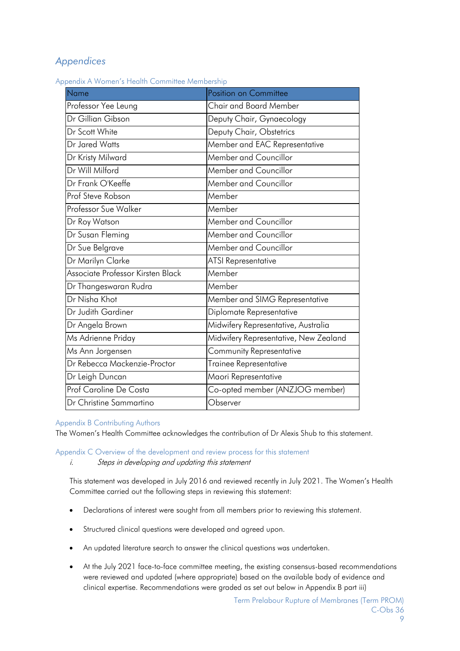# <span id="page-8-0"></span>*Appendices*

<span id="page-8-1"></span>

| Appendix A Women's Health Committee Membership |  |
|------------------------------------------------|--|
|------------------------------------------------|--|

| Name                              | <b>Position on Committee</b>          |
|-----------------------------------|---------------------------------------|
| Professor Yee Leung               | <b>Chair and Board Member</b>         |
| Dr Gillian Gibson                 | Deputy Chair, Gynaecology             |
| Dr Scott White                    | Deputy Chair, Obstetrics              |
| Dr Jared Watts                    | Member and EAC Representative         |
| Dr Kristy Milward                 | Member and Councillor                 |
| Dr Will Milford                   | Member and Councillor                 |
| Dr Frank O'Keeffe                 | Member and Councillor                 |
| Prof Steve Robson                 | Member                                |
| Professor Sue Walker              | Member                                |
| Dr Roy Watson                     | Member and Councillor                 |
| Dr Susan Fleming                  | Member and Councillor                 |
| Dr Sue Belgrave                   | Member and Councillor                 |
| Dr Marilyn Clarke                 | <b>ATSI Representative</b>            |
| Associate Professor Kirsten Black | Member                                |
| Dr Thangeswaran Rudra             | Member                                |
| Dr Nisha Khot                     | Member and SIMG Representative        |
| Dr Judith Gardiner                | Diplomate Representative              |
| Dr Angela Brown                   | Midwifery Representative, Australia   |
| Ms Adrienne Priday                | Midwifery Representative, New Zealand |
| Ms Ann Jorgensen                  | Community Representative              |
| Dr Rebecca Mackenzie-Proctor      | Trainee Representative                |
| Dr Leigh Duncan                   | Maori Representative                  |
| Prof Caroline De Costa            | Co-opted member (ANZJOG member)       |
| Dr Christine Sammartino           | Observer                              |

## <span id="page-8-2"></span>Appendix B Contributing Authors

The Women's Health Committee acknowledges the contribution of Dr Alexis Shub to this statement.

## <span id="page-8-3"></span>Appendix C Overview of the development and review process for this statement

i. Steps in developing and updating this statement

This statement was developed in July 2016 and reviewed recently in July 2021. The Women's Health Committee carried out the following steps in reviewing this statement:

- Declarations of interest were sought from all members prior to reviewing this statement.
- Structured clinical questions were developed and agreed upon.
- An updated literature search to answer the clinical questions was undertaken.
- At the July 2021 face-to-face committee meeting, the existing consensus-based recommendations were reviewed and updated (where appropriate) based on the available body of evidence and clinical expertise. Recommendations were graded as set out below in Appendix B part iii)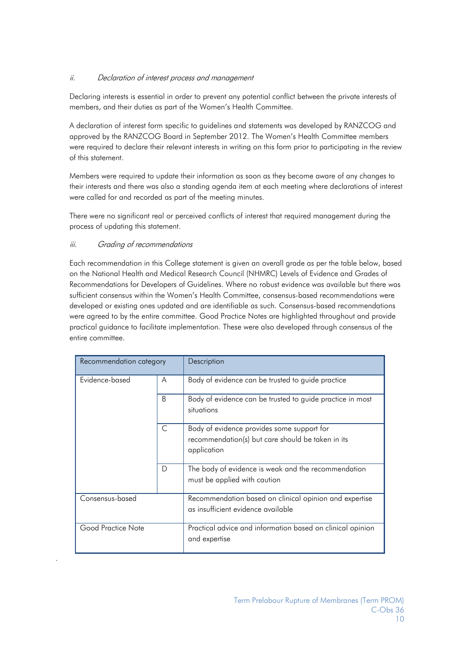## ii. Declaration of interest process and management

Declaring interests is essential in order to prevent any potential conflict between the private interests of members, and their duties as part of the Women's Health Committee.

A declaration of interest form specific to guidelines and statements was developed by RANZCOG and approved by the RANZCOG Board in September 2012. The Women's Health Committee members were required to declare their relevant interests in writing on this form prior to participating in the review of this statement.

Members were required to update their information as soon as they become aware of any changes to their interests and there was also a standing agenda item at each meeting where declarations of interest were called for and recorded as part of the meeting minutes.

There were no significant real or perceived conflicts of interest that required management during the process of updating this statement.

## iii. Grading of recommendations

.

Each recommendation in this College statement is given an overall grade as per the table below, based on the National Health and Medical Research Council (NHMRC) Levels of Evidence and Grades of Recommendations for Developers of Guidelines. Where no robust evidence was available but there was sufficient consensus within the Women's Health Committee, consensus-based recommendations were developed or existing ones updated and are identifiable as such. Consensus-based recommendations were agreed to by the entire committee. Good Practice Notes are highlighted throughout and provide practical guidance to facilitate implementation. These were also developed through consensus of the entire committee.

| Recommendation category |              | Description                                                                                                    |
|-------------------------|--------------|----------------------------------------------------------------------------------------------------------------|
| Evidence-based<br>A     |              | Body of evidence can be trusted to guide practice                                                              |
|                         | <sub>B</sub> | Body of evidence can be trusted to guide practice in most<br>situations                                        |
|                         | $\subset$    | Body of evidence provides some support for<br>recommendation(s) but care should be taken in its<br>application |
|                         | D            | The body of evidence is weak and the recommendation<br>must be applied with caution                            |
| Consensus-based         |              | Recommendation based on clinical opinion and expertise<br>as insufficient evidence available                   |
| Good Practice Note      |              | Practical advice and information based on clinical opinion<br>and expertise                                    |